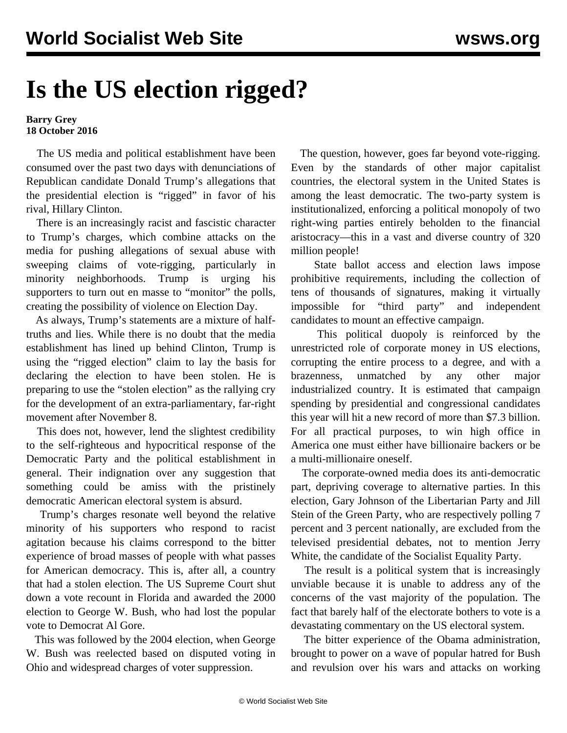## **Is the US election rigged?**

## **Barry Grey 18 October 2016**

 The US media and political establishment have been consumed over the past two days with denunciations of Republican candidate Donald Trump's allegations that the presidential election is "rigged" in favor of his rival, Hillary Clinton.

 There is an increasingly racist and fascistic character to Trump's charges, which combine attacks on the media for pushing allegations of sexual abuse with sweeping claims of vote-rigging, particularly in minority neighborhoods. Trump is urging his supporters to turn out en masse to "monitor" the polls, creating the possibility of violence on Election Day.

 As always, Trump's statements are a mixture of halftruths and lies. While there is no doubt that the media establishment has lined up behind Clinton, Trump is using the "rigged election" claim to lay the basis for declaring the election to have been stolen. He is preparing to use the "stolen election" as the rallying cry for the development of an extra-parliamentary, far-right movement after November 8.

 This does not, however, lend the slightest credibility to the self-righteous and hypocritical response of the Democratic Party and the political establishment in general. Their indignation over any suggestion that something could be amiss with the pristinely democratic American electoral system is absurd.

 Trump's charges resonate well beyond the relative minority of his supporters who respond to racist agitation because his claims correspond to the bitter experience of broad masses of people with what passes for American democracy. This is, after all, a country that had a stolen election. The US Supreme Court shut down a vote recount in Florida and awarded the 2000 election to George W. Bush, who had lost the popular vote to Democrat Al Gore.

 This was followed by the 2004 election, when George W. Bush was reelected based on disputed voting in Ohio and widespread charges of voter suppression.

 The question, however, goes far beyond vote-rigging. Even by the standards of other major capitalist countries, the electoral system in the United States is among the least democratic. The two-party system is institutionalized, enforcing a political monopoly of two right-wing parties entirely beholden to the financial aristocracy—this in a vast and diverse country of 320 million people!

 State ballot access and election laws impose prohibitive requirements, including the collection of tens of thousands of signatures, making it virtually impossible for "third party" and independent candidates to mount an effective campaign.

 This political duopoly is reinforced by the unrestricted role of corporate money in US elections, corrupting the entire process to a degree, and with a brazenness, unmatched by any other major industrialized country. It is estimated that campaign spending by presidential and congressional candidates this year will hit a new record of more than \$7.3 billion. For all practical purposes, to win high office in America one must either have billionaire backers or be a multi-millionaire oneself.

 The corporate-owned media does its anti-democratic part, depriving coverage to alternative parties. In this election, Gary Johnson of the Libertarian Party and Jill Stein of the Green Party, who are respectively polling 7 percent and 3 percent nationally, are excluded from the televised presidential debates, not to mention Jerry White, the candidate of the Socialist Equality Party.

 The result is a political system that is increasingly unviable because it is unable to address any of the concerns of the vast majority of the population. The fact that barely half of the electorate bothers to vote is a devastating commentary on the US electoral system.

 The bitter experience of the Obama administration, brought to power on a wave of popular hatred for Bush and revulsion over his wars and attacks on working